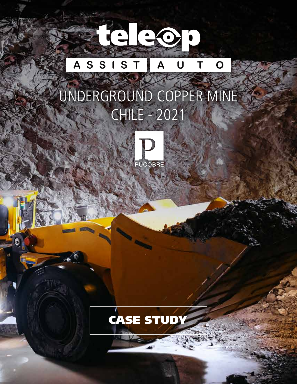#### Taleo  $S$ S S T A A U  $\mathbf O$

## UNDERGROUND COPPER MINE CHILE - 2021



¢

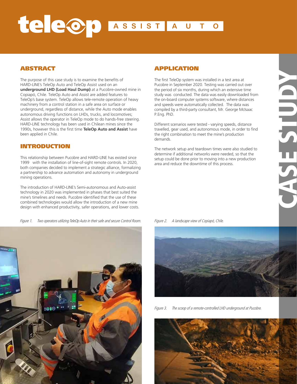## Teleop ASSIST AUT  $\overline{O}$

### ABSTRACT

The purpose of this case study is to examine the benefits of HARD-LINE's TeleOp Auto and TeleOp Assist used on an **underground LHD (Load Haul Dump)** at a Pucobre-owned mine in Copiapó, Chile. TeleOp Auto and Assist are added features to TeleOp's base system. TeleOp allows tele-remote operation of heavy machinery from a control station in a safe area on surface or underground, regardless of distance, while the Auto mode enables autonomous driving functions on LHDs, trucks, and locomotives; Assist allows the operator in TeleOp mode to do hands-free steering. HARD-LINE technology has been used in Chilean mines since the 1990s, however this is the first time **TeleOp Auto and Assist** have been applied in Chile.

#### INTRODUCTION

This relationship between Pucobre and HARD-LINE has existed since 1999 with the installation of line-of-sight remote controls. In 2020, both companies decided to implement a strategic alliance, formalizing a partnership to advance automation and autonomy in underground mining operations.

The introduction of HARD-LINE's Semi-autonomous and Auto-assist technology in 2020 was implemented in phases that best suited the mine's timelines and needs. Pucobre identified that the use of these combined technologies would allow the introduction of a new mine design with enhanced productivity, safer operations, and lower costs.

Figure 1. Two operators utilizing TeleOp Auto in their safe and secure Control Room. Figure 2. A landscape view of Copiapó, Chile.



#### APPLICATION

The first TeleOp system was installed in a test area at Pucobre in September 2020. Testing was carried out over the period of six months, during which an extensive time study was conducted. The data was easily downloaded from the on-board computer systems software, where distances and speeds were automatically collected. The data was compiled by a third-party consultant, Mr. George McIsaac P.Eng. PhD.

Different scenarios were tested - varying speeds, distance travelled, gear used, and autonomous mode, in order to find the right combination to meet the mine's production demands.

The network setup and teardown times were also studied to determine if additional networks were needed, so that the setup could be done prior to moving into a new production area and reduce the downtime of this process.



Figure 3. The scoop of a remote-controlled LHD underground at Pucobre.